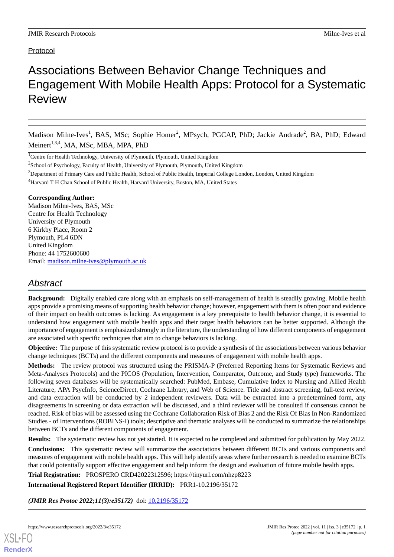# Associations Between Behavior Change Techniques and Engagement With Mobile Health Apps: Protocol for a Systematic Review

Madison Milne-Ives<sup>1</sup>, BAS, MSc; Sophie Homer<sup>2</sup>, MPsych, PGCAP, PhD; Jackie Andrade<sup>2</sup>, BA, PhD; Edward Meinert<sup>1,3,4</sup>, MA, MSc, MBA, MPA, PhD

<sup>1</sup>Centre for Health Technology, University of Plymouth, Plymouth, United Kingdom

 $2$ School of Psychology, Faculty of Health, University of Plymouth, Plymouth, United Kingdom

<sup>3</sup>Department of Primary Care and Public Health, School of Public Health, Imperial College London, London, United Kingdom

<sup>4</sup>Harvard T H Chan School of Public Health, Harvard University, Boston, MA, United States

#### **Corresponding Author:**

Madison Milne-Ives, BAS, MSc Centre for Health Technology University of Plymouth 6 Kirkby Place, Room 2 Plymouth, PL4 6DN United Kingdom Phone: 44 1752600600 Email: [madison.milne-ives@plymouth.ac.uk](mailto:madison.milne-ives@plymouth.ac.uk)

# *Abstract*

**Background:** Digitally enabled care along with an emphasis on self-management of health is steadily growing. Mobile health apps provide a promising means of supporting health behavior change; however, engagement with them is often poor and evidence of their impact on health outcomes is lacking. As engagement is a key prerequisite to health behavior change, it is essential to understand how engagement with mobile health apps and their target health behaviors can be better supported. Although the importance of engagement is emphasized strongly in the literature, the understanding of how different components of engagement are associated with specific techniques that aim to change behaviors is lacking.

**Objective:** The purpose of this systematic review protocol is to provide a synthesis of the associations between various behavior change techniques (BCTs) and the different components and measures of engagement with mobile health apps.

**Methods:** The review protocol was structured using the PRISMA-P (Preferred Reporting Items for Systematic Reviews and Meta-Analyses Protocols) and the PICOS (Population, Intervention, Comparator, Outcome, and Study type) frameworks. The following seven databases will be systematically searched: PubMed, Embase, Cumulative Index to Nursing and Allied Health Literature, APA PsycInfo, ScienceDirect, Cochrane Library, and Web of Science. Title and abstract screening, full-text review, and data extraction will be conducted by 2 independent reviewers. Data will be extracted into a predetermined form, any disagreements in screening or data extraction will be discussed, and a third reviewer will be consulted if consensus cannot be reached. Risk of bias will be assessed using the Cochrane Collaboration Risk of Bias 2 and the Risk Of Bias In Non-Randomized Studies - of Interventions (ROBINS-I) tools; descriptive and thematic analyses will be conducted to summarize the relationships between BCTs and the different components of engagement.

**Results:** The systematic review has not yet started. It is expected to be completed and submitted for publication by May 2022.

**Conclusions:** This systematic review will summarize the associations between different BCTs and various components and measures of engagement with mobile health apps. This will help identify areas where further research is needed to examine BCTs that could potentially support effective engagement and help inform the design and evaluation of future mobile health apps.

**Trial Registration:** PROSPERO CRD42022312596; https://tinyurl.com/nhzp8223

**International Registered Report Identifier (IRRID):** PRR1-10.2196/35172

*(JMIR Res Protoc 2022;11(3):e35172)* doi: [10.2196/35172](http://dx.doi.org/10.2196/35172)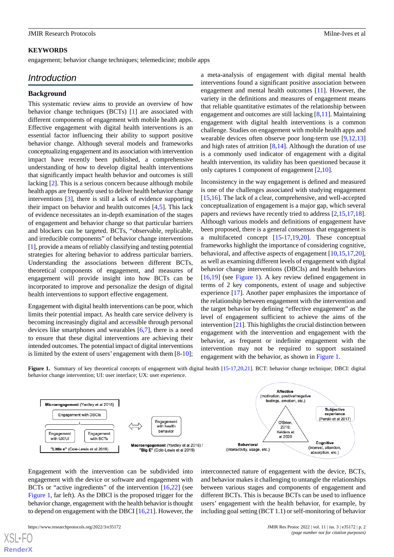#### **KEYWORDS**

engagement; behavior change techniques; telemedicine; mobile apps

# *Introduction*

#### **Background**

This systematic review aims to provide an overview of how behavior change techniques (BCTs) [\[1](#page-5-0)] are associated with different components of engagement with mobile health apps. Effective engagement with digital health interventions is an essential factor influencing their ability to support positive behavior change. Although several models and frameworks conceptualizing engagement and its association with intervention impact have recently been published, a comprehensive understanding of how to develop digital health interventions that significantly impact health behavior and outcomes is still lacking [[2\]](#page-5-1). This is a serious concern because although mobile health apps are frequently used to deliver health behavior change interventions [[3\]](#page-5-2), there is still a lack of evidence supporting their impact on behavior and health outcomes [\[4](#page-5-3),[5\]](#page-5-4). This lack of evidence necessitates an in-depth examination of the stages of engagement and behavior change so that particular barriers and blockers can be targeted. BCTs, "observable, replicable, and irreducible components" of behavior change interventions [[1\]](#page-5-0), provide a means of reliably classifying and testing potential strategies for altering behavior to address particular barriers. Understanding the associations between different BCTs, theoretical components of engagement, and measures of engagement will provide insight into how BCTs can be incorporated to improve and personalize the design of digital health interventions to support effective engagement.

<span id="page-1-0"></span>Engagement with digital health interventions can be poor, which limits their potential impact. As health care service delivery is becoming increasingly digital and accessible through personal devices like smartphones and wearables [[6](#page-5-5)[,7](#page-5-6)], there is a need to ensure that these digital interventions are achieving their intended outcomes. The potential impact of digital interventions is limited by the extent of users' engagement with them [\[8](#page-5-7)-[10\]](#page-5-8);

a meta-analysis of engagement with digital mental health interventions found a significant positive association between engagement and mental health outcomes [[11\]](#page-5-9). However, the variety in the definitions and measures of engagement means that reliable quantitative estimates of the relationship between engagement and outcomes are still lacking  $[8,11]$  $[8,11]$  $[8,11]$ . Maintaining engagement with digital health interventions is a common challenge. Studies on engagement with mobile health apps and wearable devices often observe poor long-term use [\[9](#page-5-10),[12](#page-6-0)[,13](#page-6-1)] and high rates of attrition  $[8,14]$  $[8,14]$  $[8,14]$ . Although the duration of use is a commonly used indicator of engagement with a digital health intervention, its validity has been questioned because it only captures 1 component of engagement [\[2](#page-5-1),[10\]](#page-5-8).

Inconsistency in the way engagement is defined and measured is one of the challenges associated with studying engagement [[15,](#page-6-3)[16\]](#page-6-4). The lack of a clear, comprehensive, and well-accepted conceptualization of engagement is a major gap, which several papers and reviews have recently tried to address [\[2](#page-5-1),[15](#page-6-3)[,17](#page-6-5),[18\]](#page-6-6). Although various models and definitions of engagement have been proposed, there is a general consensus that engagement is a multifaceted concept [[15-](#page-6-3)[17](#page-6-5),[19,](#page-6-7)[20](#page-6-8)]. These conceptual frameworks highlight the importance of considering cognitive, behavioral, and affective aspects of engagement [\[10](#page-5-8),[15](#page-6-3)[,17](#page-6-5),[20\]](#page-6-8), as well as examining different levels of engagement with digital behavior change interventions (DBCIs) and health behaviors [[16,](#page-6-4)[19\]](#page-6-7) (see [Figure 1\)](#page-1-0). A key review defined engagement in terms of 2 key components, extent of usage and subjective experience [\[17](#page-6-5)]. Another paper emphasizes the importance of the relationship between engagement with the intervention and the target behavior by defining "effective engagement" as the level of engagement sufficient to achieve the aims of the intervention [\[21\]](#page-6-9). This highlights the crucial distinction between engagement with the intervention and engagement with the behavior, as frequent or indefinite engagement with the intervention may not be required to support sustained engagement with the behavior, as shown in [Figure 1.](#page-1-0)

**Figure 1.** Summary of key theoretical concepts of engagement with digital health [\[15-](#page-6-3)[17](#page-6-5)[,20,](#page-6-8)[21](#page-6-9)]. BCT: behavior change technique; DBCI: digital behavior change intervention; UI: user interface; UX: user experience.



Engagement with the intervention can be subdivided into engagement with the device or software and engagement with BCTs or "active ingredients" of the intervention [\[16](#page-6-4),[22\]](#page-6-10) (see [Figure 1](#page-1-0), far left). As the DBCI is the proposed trigger for the behavior change, engagement with the health behavior is thought to depend on engagement with the DBCI [[16](#page-6-4)[,21](#page-6-9)]. However, the

interconnected nature of engagement with the device, BCTs, and behavior makes it challenging to untangle the relationships between various stages and components of engagement and different BCTs. This is because BCTs can be used to influence users' engagement with the health behavior, for example, by including goal setting (BCT 1.1) or self-monitoring of behavior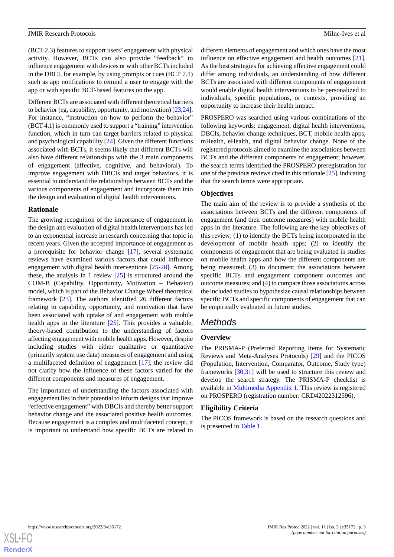(BCT 2.3) features to support users' engagement with physical activity. However, BCTs can also provide "feedback" to influence engagement with devices or with other BCTs included in the DBCI, for example, by using prompts or cues (BCT 7.1) such as app notifications to remind a user to engage with the app or with specific BCT-based features on the app.

Different BCTs are associated with different theoretical barriers to behavior (eg, capability, opportunity, and motivation) [[23,](#page-6-11)[24\]](#page-6-12). For instance, "instruction on how to perform the behavior" (BCT 4.1) is commonly used to support a "training" intervention function, which in turn can target barriers related to physical and psychological capability [[24\]](#page-6-12). Given the different functions associated with BCTs, it seems likely that different BCTs will also have different relationships with the 3 main components of engagement (affective, cognitive, and behavioral). To improve engagement with DBCIs and target behaviors, it is essential to understand the relationships between BCTs and the various components of engagement and incorporate them into the design and evaluation of digital health interventions.

#### **Rationale**

The growing recognition of the importance of engagement in the design and evaluation of digital health interventions has led to an exponential increase in research concerning that topic in recent years. Given the accepted importance of engagement as a prerequisite for behavior change [\[17](#page-6-5)], several systematic reviews have examined various factors that could influence engagement with digital health interventions [\[25](#page-6-13)-[28\]](#page-6-14). Among these, the analysis in 1 review [\[25](#page-6-13)] is structured around the COM-B (Capability, Opportunity, Motivation – Behavior) model, which is part of the Behavior Change Wheel theoretical framework [[23\]](#page-6-11). The authors identified 26 different factors relating to capability, opportunity, and motivation that have been associated with uptake of and engagement with mobile health apps in the literature [\[25](#page-6-13)]. This provides a valuable, theory-based contribution to the understanding of factors affecting engagement with mobile health apps. However, despite including studies with either qualitative or quantitative (primarily system use data) measures of engagement and using a multifaceted definition of engagement [\[17](#page-6-5)], the review did not clarify how the influence of these factors varied for the different components and measures of engagement.

The importance of understanding the factors associated with engagement lies in their potential to inform designs that improve "effective engagement" with DBCIs and thereby better support behavior change and the associated positive health outcomes. Because engagement is a complex and multifaceted concept, it is important to understand how specific BCTs are related to

different elements of engagement and which ones have the most influence on effective engagement and health outcomes [[21\]](#page-6-9). As the best strategies for achieving effective engagement could differ among individuals, an understanding of how different BCTs are associated with different components of engagement would enable digital health interventions to be personalized to individuals, specific populations, or contexts, providing an opportunity to increase their health impact.

PROSPERO was searched using various combinations of the following keywords: engagement, digital health interventions, DBCIs, behavior change techniques, BCT, mobile health apps, mHealth, eHealth, and digital behavior change. None of the registered protocols aimed to examine the associations between BCTs and the different components of engagement; however, the search terms identified the PROSPERO preregistration for one of the previous reviews cited in this rationale [\[25](#page-6-13)], indicating that the search terms were appropriate.

### **Objectives**

The main aim of the review is to provide a synthesis of the associations between BCTs and the different components of engagement (and their outcome measures) with mobile health apps in the literature. The following are the key objectives of this review: (1) to identify the BCTs being incorporated in the development of mobile health apps; (2) to identify the components of engagement that are being evaluated in studies on mobile health apps and how the different components are being measured; (3) to document the associations between specific BCTs and engagement component outcomes and outcome measures; and (4) to compare those associations across the included studies to hypothesize causal relationships between specific BCTs and specific components of engagement that can be empirically evaluated in future studies.

# *Methods*

### **Overview**

The PRISMA-P (Preferred Reporting Items for Systematic Reviews and Meta-Analyses Protocols) [[29\]](#page-6-15) and the PICOS (Population, Intervention, Comparator, Outcome, Study type) frameworks [[30](#page-6-16)[,31](#page-6-17)] will be used to structure this review and develop the search strategy. The PRISMA-P checklist is available in [Multimedia Appendix 1.](#page-5-11) This review is registered on PROSPERO (registration number: CRD42022312596).

### **Eligibility Criteria**

The PICOS framework is based on the research questions and is presented in [Table 1](#page-3-0).

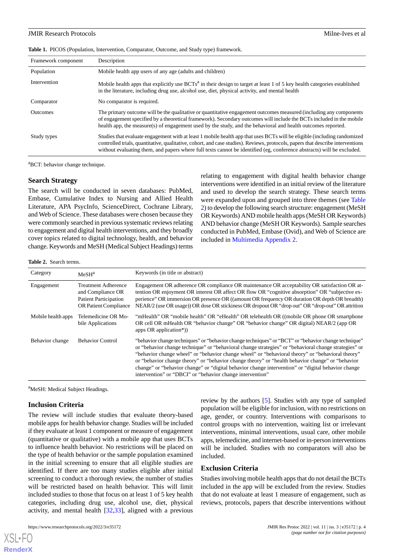#### JMIR Research Protocols **Milne-Ives** et al.

<span id="page-3-0"></span>

|  |  |  | Table 1. PICOS (Population, Intervention, Comparator, Outcome, and Study type) framework. |  |  |  |  |
|--|--|--|-------------------------------------------------------------------------------------------|--|--|--|--|
|--|--|--|-------------------------------------------------------------------------------------------|--|--|--|--|

| Framework component | Description                                                                                                                                                                                                                                                                                                                                                                           |
|---------------------|---------------------------------------------------------------------------------------------------------------------------------------------------------------------------------------------------------------------------------------------------------------------------------------------------------------------------------------------------------------------------------------|
| Population          | Mobile health app users of any age (adults and children)                                                                                                                                                                                                                                                                                                                              |
| Intervention        | Mobile health apps that explicitly use BCTs <sup>a</sup> in their design to target at least 1 of 5 key health categories established<br>in the literature, including drug use, alcohol use, diet, physical activity, and mental health                                                                                                                                                |
| Comparator          | No comparator is required.                                                                                                                                                                                                                                                                                                                                                            |
| <b>Outcomes</b>     | The primary outcome will be the qualitative or quantitative engagement outcomes measured (including any components<br>of engagement specified by a theoretical framework). Secondary outcomes will include the BCTs included in the mobile<br>health app, the measure(s) of engagement used by the study, and the behavioral and health outcomes reported.                            |
| Study types         | Studies that evaluate engagement with at least 1 mobile health app that uses BCTs will be eligible (including randomized<br>controlled trials, quantitative, qualitative, cohort, and case studies). Reviews, protocols, papers that describe interventions<br>without evaluating them, and papers where full texts cannot be identified (eg, conference abstracts) will be excluded. |

<sup>a</sup>BCT: behavior change technique.

#### **Search Strategy**

The search will be conducted in seven databases: PubMed, Embase, Cumulative Index to Nursing and Allied Health Literature, APA PsycInfo, ScienceDirect, Cochrane Library, and Web of Science. These databases were chosen because they were commonly searched in previous systematic reviews relating to engagement and digital health interventions, and they broadly cover topics related to digital technology, health, and behavior change. Keywords and MeSH (Medical Subject Headings) terms relating to engagement with digital health behavior change interventions were identified in an initial review of the literature and used to develop the search strategy. These search terms were expanded upon and grouped into three themes (see [Table](#page-3-1) [2](#page-3-1)) to develop the following search structure: engagement (MeSH OR Keywords) AND mobile health apps (MeSH OR Keywords) AND behavior change (MeSH OR Keywords). Sample searches conducted in PubMed, Embase (Ovid), and Web of Science are included in [Multimedia Appendix 2.](#page-5-12)

#### <span id="page-3-1"></span>**Table 2.** Search terms.

| Category           | MeSH <sup>a</sup>                                                                                               | Keywords (in title or abstract)                                                                                                                                                                                                                                                                                                                                                                                                                                                                                                                                                           |
|--------------------|-----------------------------------------------------------------------------------------------------------------|-------------------------------------------------------------------------------------------------------------------------------------------------------------------------------------------------------------------------------------------------------------------------------------------------------------------------------------------------------------------------------------------------------------------------------------------------------------------------------------------------------------------------------------------------------------------------------------------|
| Engagement         | <b>Treatment Adherence</b><br>and Compliance OR<br><b>Patient Participation</b><br><b>OR Patient Compliance</b> | Engagement OR adherence OR compliance OR maintenance OR acceptability OR satisfaction OR at-<br>tention OR enjoyment OR interest OR affect OR flow OR "cognitive absorption" OR "subjective ex-<br>perience" OR immersion OR presence OR ((amount OR frequency OR duration OR depth OR breadth)<br>NEAR/2 (use OR usage)) OR dose OR stickiness OR dropout OR "drop out" OR "drop-out" OR attrition                                                                                                                                                                                       |
| Mobile health apps | Telemedicine OR Mo-<br>bile Applications                                                                        | "mHealth" OR "mobile health" OR "eHealth" OR telehealth OR ((mobile OR phone OR smartphone<br>OR cell OR mHealth OR "behavior change" OR "behavior change" OR digital) NEAR/2 (app OR<br>apps OR application*))                                                                                                                                                                                                                                                                                                                                                                           |
| Behavior change    | <b>Behavior Control</b>                                                                                         | "behavior change techniques" or "behavior change techniques" or "BCT" or "behavior change technique"<br>or "behavior change technique" or "behavioral change strategies" or "behavioral change strategies" or<br>"behavior change wheel" or "behavior change wheel" or "behavioral theory" or "behavioral theory"<br>or "behavior change theory" or "behavior change theory" or "health behavior change" or "behavior"<br>change" or "behavior change" or "digital behavior change intervention" or "digital behavior change<br>intervention" or "DBCI" or "behavior change intervention" |

<sup>a</sup>MeSH: Medical Subject Headings.

#### **Inclusion Criteria**

The review will include studies that evaluate theory-based mobile apps for health behavior change. Studies will be included if they evaluate at least 1 component or measure of engagement (quantitative or qualitative) with a mobile app that uses BCTs to influence health behavior. No restrictions will be placed on the type of health behavior or the sample population examined in the initial screening to ensure that all eligible studies are identified. If there are too many studies eligible after initial screening to conduct a thorough review, the number of studies will be restricted based on health behavior. This will limit included studies to those that focus on at least 1 of 5 key health categories, including drug use, alcohol use, diet, physical activity, and mental health  $[32,33]$  $[32,33]$  $[32,33]$ , aligned with a previous

review by the authors [[5\]](#page-5-4). Studies with any type of sampled population will be eligible for inclusion, with no restrictions on age, gender, or country. Interventions with comparisons to control groups with no intervention, waiting list or irrelevant interventions, minimal interventions, usual care, other mobile apps, telemedicine, and internet-based or in-person interventions will be included. Studies with no comparators will also be included.

#### **Exclusion Criteria**

Studies involving mobile health apps that do not detail the BCTs included in the app will be excluded from the review. Studies that do not evaluate at least 1 measure of engagement, such as reviews, protocols, papers that describe interventions without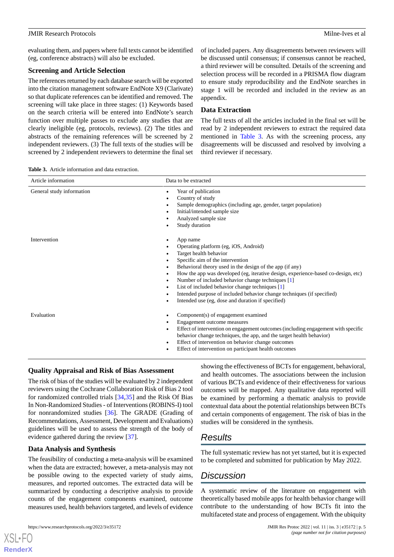evaluating them, and papers where full texts cannot be identified (eg, conference abstracts) will also be excluded.

#### **Screening and Article Selection**

The references returned by each database search will be exported into the citation management software EndNote X9 (Clarivate) so that duplicate references can be identified and removed. The screening will take place in three stages: (1) Keywords based on the search criteria will be entered into EndNote's search function over multiple passes to exclude any studies that are clearly ineligible (eg, protocols, reviews). (2) The titles and abstracts of the remaining references will be screened by 2 independent reviewers. (3) The full texts of the studies will be screened by 2 independent reviewers to determine the final set of included papers. Any disagreements between reviewers will be discussed until consensus; if consensus cannot be reached, a third reviewer will be consulted. Details of the screening and selection process will be recorded in a PRISMA flow diagram to ensure study reproducibility and the EndNote searches in stage 1 will be recorded and included in the review as an appendix.

# **Data Extraction**

The full texts of all the articles included in the final set will be read by 2 independent reviewers to extract the required data mentioned in [Table 3](#page-4-0). As with the screening process, any disagreements will be discussed and resolved by involving a third reviewer if necessary.

<span id="page-4-0"></span>**Table 3.** Article information and data extraction.

| Article information                                                                     | Data to be extracted                                                                                                                                                                                                                                                                                                                                                                                                                                                                                    |
|-----------------------------------------------------------------------------------------|---------------------------------------------------------------------------------------------------------------------------------------------------------------------------------------------------------------------------------------------------------------------------------------------------------------------------------------------------------------------------------------------------------------------------------------------------------------------------------------------------------|
| General study information<br>$\bullet$<br>٠                                             | Year of publication<br>Country of study<br>Sample demographics (including age, gender, target population)<br>Initial/intended sample size<br>Analyzed sample size<br>Study duration                                                                                                                                                                                                                                                                                                                     |
| Intervention<br>$\bullet$<br>٠<br>٠<br>$\bullet$<br>$\bullet$<br>$\bullet$<br>$\bullet$ | App name<br>Operating platform (eg, iOS, Android)<br>Target health behavior<br>Specific aim of the intervention<br>Behavioral theory used in the design of the app (if any)<br>How the app was developed (eg, iterative design, experience-based co-design, etc)<br>Number of included behavior change techniques [1]<br>List of included behavior change techniques [1]<br>Intended purpose of included behavior change techniques (if specified)<br>Intended use (eg, dose and duration if specified) |
| Evaluation<br>$\bullet$<br>٠<br>$\bullet$<br>$\bullet$                                  | Component(s) of engagement examined<br>Engagement outcome measures<br>Effect of intervention on engagement outcomes (including engagement with specific<br>behavior change techniques, the app, and the target health behavior)<br>Effect of intervention on behavior change outcomes<br>Effect of intervention on participant health outcomes                                                                                                                                                          |

# **Quality Appraisal and Risk of Bias Assessment**

The risk of bias of the studies will be evaluated by 2 independent reviewers using the Cochrane Collaboration Risk of Bias 2 tool for randomized controlled trials [\[34](#page-7-0),[35\]](#page-7-1) and the Risk Of Bias In Non-Randomized Studies - of Interventions (ROBINS-I) tool for nonrandomized studies [\[36](#page-7-2)]. The GRADE (Grading of Recommendations, Assessment, Development and Evaluations) guidelines will be used to assess the strength of the body of evidence gathered during the review [\[37](#page-7-3)].

### **Data Analysis and Synthesis**

The feasibility of conducting a meta-analysis will be examined when the data are extracted; however, a meta-analysis may not be possible owing to the expected variety of study aims, measures, and reported outcomes. The extracted data will be summarized by conducting a descriptive analysis to provide counts of the engagement components examined, outcome measures used, health behaviors targeted, and levels of evidence

[XSL](http://www.w3.org/Style/XSL)•FO **[RenderX](http://www.renderx.com/)**

showing the effectiveness of BCTs for engagement, behavioral, and health outcomes. The associations between the inclusion of various BCTs and evidence of their effectiveness for various outcomes will be mapped. Any qualitative data reported will be examined by performing a thematic analysis to provide contextual data about the potential relationships between BCTs and certain components of engagement. The risk of bias in the studies will be considered in the synthesis.

# *Results*

The full systematic review has not yet started, but it is expected to be completed and submitted for publication by May 2022.

# *Discussion*

A systematic review of the literature on engagement with theoretically based mobile apps for health behavior change will contribute to the understanding of how BCTs fit into the multifaceted state and process of engagement. With the ubiquity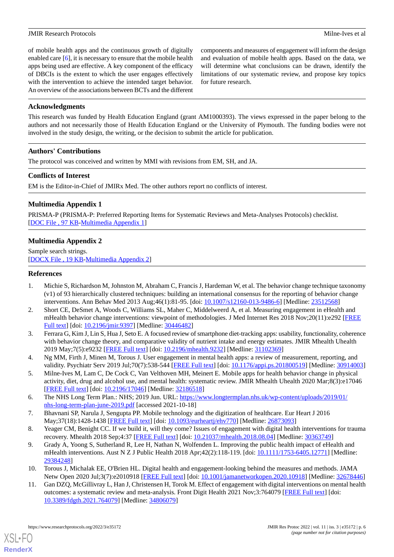of mobile health apps and the continuous growth of digitally enabled care [\[6](#page-5-5)], it is necessary to ensure that the mobile health apps being used are effective. A key component of the efficacy of DBCIs is the extent to which the user engages effectively with the intervention to achieve the intended target behavior. An overview of the associations between BCTs and the different

components and measures of engagement will inform the design and evaluation of mobile health apps. Based on the data, we will determine what conclusions can be drawn, identify the limitations of our systematic review, and propose key topics for future research.

### **Acknowledgments**

This research was funded by Health Education England (grant AM1000393). The views expressed in the paper belong to the authors and not necessarily those of Health Education England or the University of Plymouth. The funding bodies were not involved in the study design, the writing, or the decision to submit the article for publication.

### **Authors' Contributions**

The protocol was conceived and written by MMI with revisions from EM, SH, and JA.

### **Conflicts of Interest**

<span id="page-5-11"></span>EM is the Editor-in-Chief of JMIRx Med. The other authors report no conflicts of interest.

# **Multimedia Appendix 1**

<span id="page-5-12"></span>PRISMA-P (PRISMA-P: Preferred Reporting Items for Systematic Reviews and Meta-Analyses Protocols) checklist. [[DOC File , 97 KB-Multimedia Appendix 1](https://jmir.org/api/download?alt_name=resprot_v11i3e35172_app1.doc&filename=763ae160db4241cbb2e2e0a5a4151d28.doc)]

# **Multimedia Appendix 2**

<span id="page-5-0"></span>Sample search strings. [[DOCX File , 19 KB](https://jmir.org/api/download?alt_name=resprot_v11i3e35172_app2.docx&filename=c1a305367a5980c3fbe799059ecb50d7.docx)-[Multimedia Appendix 2\]](https://jmir.org/api/download?alt_name=resprot_v11i3e35172_app2.docx&filename=c1a305367a5980c3fbe799059ecb50d7.docx)

### <span id="page-5-1"></span>**References**

- 1. Michie S, Richardson M, Johnston M, Abraham C, Francis J, Hardeman W, et al. The behavior change technique taxonomy (v1) of 93 hierarchically clustered techniques: building an international consensus for the reporting of behavior change interventions. Ann Behav Med 2013 Aug;46(1):81-95. [doi: [10.1007/s12160-013-9486-6\]](http://dx.doi.org/10.1007/s12160-013-9486-6) [Medline: [23512568\]](http://www.ncbi.nlm.nih.gov/entrez/query.fcgi?cmd=Retrieve&db=PubMed&list_uids=23512568&dopt=Abstract)
- <span id="page-5-2"></span>2. Short CE, DeSmet A, Woods C, Williams SL, Maher C, Middelweerd A, et al. Measuring engagement in eHealth and mHealth behavior change interventions: viewpoint of methodologies. J Med Internet Res 2018 Nov;20(11):e292 [\[FREE](https://www.jmir.org/2018/11/e292/) [Full text\]](https://www.jmir.org/2018/11/e292/) [doi: [10.2196/jmir.9397](http://dx.doi.org/10.2196/jmir.9397)] [Medline: [30446482\]](http://www.ncbi.nlm.nih.gov/entrez/query.fcgi?cmd=Retrieve&db=PubMed&list_uids=30446482&dopt=Abstract)
- <span id="page-5-4"></span><span id="page-5-3"></span>3. Ferrara G, Kim J, Lin S, Hua J, Seto E. A focused review of smartphone diet-tracking apps: usability, functionality, coherence with behavior change theory, and comparative validity of nutrient intake and energy estimates. JMIR Mhealth Uhealth 2019 May;7(5):e9232 [[FREE Full text](https://mhealth.jmir.org/2019/5/e9232/)] [doi: [10.2196/mhealth.9232\]](http://dx.doi.org/10.2196/mhealth.9232) [Medline: [31102369](http://www.ncbi.nlm.nih.gov/entrez/query.fcgi?cmd=Retrieve&db=PubMed&list_uids=31102369&dopt=Abstract)]
- <span id="page-5-5"></span>4. Ng MM, Firth J, Minen M, Torous J. User engagement in mental health apps: a review of measurement, reporting, and validity. Psychiatr Serv 2019 Jul;70(7):538-544 [\[FREE Full text\]](http://europepmc.org/abstract/MED/30914003) [doi: [10.1176/appi.ps.201800519](http://dx.doi.org/10.1176/appi.ps.201800519)] [Medline: [30914003](http://www.ncbi.nlm.nih.gov/entrez/query.fcgi?cmd=Retrieve&db=PubMed&list_uids=30914003&dopt=Abstract)]
- <span id="page-5-6"></span>5. Milne-Ives M, Lam C, De Cock C, Van Velthoven MH, Meinert E. Mobile apps for health behavior change in physical activity, diet, drug and alcohol use, and mental health: systematic review. JMIR Mhealth Uhealth 2020 Mar;8(3):e17046 [[FREE Full text](https://mhealth.jmir.org/2020/3/e17046/)] [doi: [10.2196/17046\]](http://dx.doi.org/10.2196/17046) [Medline: [32186518\]](http://www.ncbi.nlm.nih.gov/entrez/query.fcgi?cmd=Retrieve&db=PubMed&list_uids=32186518&dopt=Abstract)
- <span id="page-5-10"></span><span id="page-5-7"></span>6. The NHS Long Term Plan.: NHS; 2019 Jun. URL: [https://www.longtermplan.nhs.uk/wp-content/uploads/2019/01/](https://www.longtermplan.nhs.uk/wp-content/uploads/2019/01/nhs-long-term-plan-june-2019.pdf) [nhs-long-term-plan-june-2019.pdf](https://www.longtermplan.nhs.uk/wp-content/uploads/2019/01/nhs-long-term-plan-june-2019.pdf) [accessed 2021-10-18]
- 7. Bhavnani SP, Narula J, Sengupta PP. Mobile technology and the digitization of healthcare. Eur Heart J 2016 May;37(18):1428-1438 [\[FREE Full text\]](http://europepmc.org/abstract/MED/26873093) [doi: [10.1093/eurheartj/ehv770\]](http://dx.doi.org/10.1093/eurheartj/ehv770) [Medline: [26873093\]](http://www.ncbi.nlm.nih.gov/entrez/query.fcgi?cmd=Retrieve&db=PubMed&list_uids=26873093&dopt=Abstract)
- <span id="page-5-9"></span><span id="page-5-8"></span>8. Yeager CM, Benight CC. If we build it, will they come? Issues of engagement with digital health interventions for trauma recovery. Mhealth 2018 Sep;4:37 [\[FREE Full text\]](https://doi.org/10.21037/mhealth.2018.08.04) [doi: [10.21037/mhealth.2018.08.04\]](http://dx.doi.org/10.21037/mhealth.2018.08.04) [Medline: [30363749\]](http://www.ncbi.nlm.nih.gov/entrez/query.fcgi?cmd=Retrieve&db=PubMed&list_uids=30363749&dopt=Abstract)
- 9. Grady A, Yoong S, Sutherland R, Lee H, Nathan N, Wolfenden L. Improving the public health impact of eHealth and mHealth interventions. Aust N Z J Public Health 2018 Apr;42(2):118-119. [doi: [10.1111/1753-6405.12771\]](http://dx.doi.org/10.1111/1753-6405.12771) [Medline: [29384248](http://www.ncbi.nlm.nih.gov/entrez/query.fcgi?cmd=Retrieve&db=PubMed&list_uids=29384248&dopt=Abstract)]
- 10. Torous J, Michalak EE, O'Brien HL. Digital health and engagement-looking behind the measures and methods. JAMA Netw Open 2020 Jul;3(7):e2010918 [\[FREE Full text\]](https://jamanetwork.com/journals/jamanetworkopen/fullarticle/10.1001/jamanetworkopen.2020.10918) [doi: [10.1001/jamanetworkopen.2020.10918\]](http://dx.doi.org/10.1001/jamanetworkopen.2020.10918) [Medline: [32678446\]](http://www.ncbi.nlm.nih.gov/entrez/query.fcgi?cmd=Retrieve&db=PubMed&list_uids=32678446&dopt=Abstract)
- 11. Gan DZQ, McGillivray L, Han J, Christensen H, Torok M. Effect of engagement with digital interventions on mental health outcomes: a systematic review and meta-analysis. Front Digit Health 2021 Nov;3:764079 [\[FREE Full text\]](http://europepmc.org/abstract/MED/34806079) [doi: [10.3389/fdgth.2021.764079\]](http://dx.doi.org/10.3389/fdgth.2021.764079) [Medline: [34806079\]](http://www.ncbi.nlm.nih.gov/entrez/query.fcgi?cmd=Retrieve&db=PubMed&list_uids=34806079&dopt=Abstract)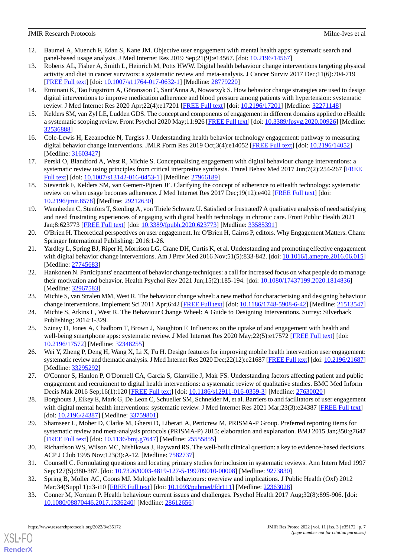#### JMIR Research Protocols **Milne-Ives et al.** Milne-Ives et al.

- <span id="page-6-0"></span>12. Baumel A, Muench F, Edan S, Kane JM. Objective user engagement with mental health apps: systematic search and panel-based usage analysis. J Med Internet Res 2019 Sep;21(9):e14567. [doi: [10.2196/14567](http://dx.doi.org/10.2196/14567)]
- <span id="page-6-1"></span>13. Roberts AL, Fisher A, Smith L, Heinrich M, Potts HWW. Digital health behaviour change interventions targeting physical activity and diet in cancer survivors: a systematic review and meta-analysis. J Cancer Surviv 2017 Dec;11(6):704-719 [[FREE Full text](http://europepmc.org/abstract/MED/28779220)] [doi: [10.1007/s11764-017-0632-1\]](http://dx.doi.org/10.1007/s11764-017-0632-1) [Medline: [28779220](http://www.ncbi.nlm.nih.gov/entrez/query.fcgi?cmd=Retrieve&db=PubMed&list_uids=28779220&dopt=Abstract)]
- <span id="page-6-2"></span>14. Etminani K, Tao Engström A, Göransson C, Sant'Anna A, Nowaczyk S. How behavior change strategies are used to design digital interventions to improve medication adherence and blood pressure among patients with hypertension: systematic review. J Med Internet Res 2020 Apr;22(4):e17201 [\[FREE Full text\]](https://www.jmir.org/2020/4/e17201/) [doi: [10.2196/17201](http://dx.doi.org/10.2196/17201)] [Medline: [32271148](http://www.ncbi.nlm.nih.gov/entrez/query.fcgi?cmd=Retrieve&db=PubMed&list_uids=32271148&dopt=Abstract)]
- <span id="page-6-4"></span><span id="page-6-3"></span>15. Kelders SM, van Zyl LE, Ludden GDS. The concept and components of engagement in different domains applied to eHealth: a systematic scoping review. Front Psychol 2020 May;11:926 [[FREE Full text](https://doi.org/10.3389/fpsyg.2020.00926)] [doi: [10.3389/fpsyg.2020.00926\]](http://dx.doi.org/10.3389/fpsyg.2020.00926) [Medline: [32536888](http://www.ncbi.nlm.nih.gov/entrez/query.fcgi?cmd=Retrieve&db=PubMed&list_uids=32536888&dopt=Abstract)]
- <span id="page-6-5"></span>16. Cole-Lewis H, Ezeanochie N, Turgiss J. Understanding health behavior technology engagement: pathway to measuring digital behavior change interventions. JMIR Form Res 2019 Oct;3(4):e14052 [[FREE Full text](https://formative.jmir.org/2019/4/e14052/)] [doi: [10.2196/14052\]](http://dx.doi.org/10.2196/14052) [Medline: [31603427](http://www.ncbi.nlm.nih.gov/entrez/query.fcgi?cmd=Retrieve&db=PubMed&list_uids=31603427&dopt=Abstract)]
- <span id="page-6-6"></span>17. Perski O, Blandford A, West R, Michie S. Conceptualising engagement with digital behaviour change interventions: a systematic review using principles from critical interpretive synthesis. Transl Behav Med 2017 Jun;7(2):254-267 [[FREE](http://europepmc.org/abstract/MED/27966189) [Full text\]](http://europepmc.org/abstract/MED/27966189) [doi: [10.1007/s13142-016-0453-1](http://dx.doi.org/10.1007/s13142-016-0453-1)] [Medline: [27966189](http://www.ncbi.nlm.nih.gov/entrez/query.fcgi?cmd=Retrieve&db=PubMed&list_uids=27966189&dopt=Abstract)]
- <span id="page-6-7"></span>18. Sieverink F, Kelders SM, van Gemert-Pijnen JE. Clarifying the concept of adherence to eHealth technology: systematic review on when usage becomes adherence. J Med Internet Res 2017 Dec;19(12):e402 [\[FREE Full text\]](https://www.jmir.org/2017/12/e402/) [doi: [10.2196/jmir.8578](http://dx.doi.org/10.2196/jmir.8578)] [Medline: [29212630](http://www.ncbi.nlm.nih.gov/entrez/query.fcgi?cmd=Retrieve&db=PubMed&list_uids=29212630&dopt=Abstract)]
- <span id="page-6-8"></span>19. Wannheden C, Stenfors T, Stenling A, von Thiele Schwarz U. Satisfied or frustrated? A qualitative analysis of need satisfying and need frustrating experiences of engaging with digital health technology in chronic care. Front Public Health 2021 Jan;8:623773 [\[FREE Full text\]](https://doi.org/10.3389/fpubh.2020.623773) [doi: [10.3389/fpubh.2020.623773\]](http://dx.doi.org/10.3389/fpubh.2020.623773) [Medline: [33585391](http://www.ncbi.nlm.nih.gov/entrez/query.fcgi?cmd=Retrieve&db=PubMed&list_uids=33585391&dopt=Abstract)]
- <span id="page-6-9"></span>20. O'Brien H. Theoretical perspectives on user engagement. In: O'Brien H, Cairns P, editors. Why Engagement Matters. Cham: Springer International Publishing; 2016:1-26.
- <span id="page-6-10"></span>21. Yardley L, Spring BJ, Riper H, Morrison LG, Crane DH, Curtis K, et al. Understanding and promoting effective engagement with digital behavior change interventions. Am J Prev Med 2016 Nov;51(5):833-842. [doi: [10.1016/j.amepre.2016.06.015](http://dx.doi.org/10.1016/j.amepre.2016.06.015)] [Medline: [27745683](http://www.ncbi.nlm.nih.gov/entrez/query.fcgi?cmd=Retrieve&db=PubMed&list_uids=27745683&dopt=Abstract)]
- <span id="page-6-12"></span><span id="page-6-11"></span>22. Hankonen N. Participants' enactment of behavior change techniques: a call for increased focus on what people do to manage their motivation and behavior. Health Psychol Rev 2021 Jun;15(2):185-194. [doi: [10.1080/17437199.2020.1814836](http://dx.doi.org/10.1080/17437199.2020.1814836)] [Medline: [32967583](http://www.ncbi.nlm.nih.gov/entrez/query.fcgi?cmd=Retrieve&db=PubMed&list_uids=32967583&dopt=Abstract)]
- <span id="page-6-13"></span>23. Michie S, van Stralen MM, West R. The behaviour change wheel: a new method for characterising and designing behaviour change interventions. Implement Sci 2011 Apr;6:42 [[FREE Full text](https://implementationscience.biomedcentral.com/articles/10.1186/1748-5908-6-42)] [doi: [10.1186/1748-5908-6-42\]](http://dx.doi.org/10.1186/1748-5908-6-42) [Medline: [21513547](http://www.ncbi.nlm.nih.gov/entrez/query.fcgi?cmd=Retrieve&db=PubMed&list_uids=21513547&dopt=Abstract)]
- 24. Michie S, Atkins L, West R. The Behaviour Change Wheel: A Guide to Designing Interventions. Surrey: Silverback Publishing; 2014:1-329.
- 25. Szinay D, Jones A, Chadborn T, Brown J, Naughton F. Influences on the uptake of and engagement with health and well-being smartphone apps: systematic review. J Med Internet Res 2020 May;22(5):e17572 [[FREE Full text](https://www.jmir.org/2020/5/e17572/)] [doi: [10.2196/17572\]](http://dx.doi.org/10.2196/17572) [Medline: [32348255\]](http://www.ncbi.nlm.nih.gov/entrez/query.fcgi?cmd=Retrieve&db=PubMed&list_uids=32348255&dopt=Abstract)
- <span id="page-6-14"></span>26. Wei Y, Zheng P, Deng H, Wang X, Li X, Fu H. Design features for improving mobile health intervention user engagement: systematic review and thematic analysis. J Med Internet Res 2020 Dec;22(12):e21687 [[FREE Full text](https://www.jmir.org/2020/12/e21687/)] [doi: [10.2196/21687](http://dx.doi.org/10.2196/21687)] [Medline: [33295292](http://www.ncbi.nlm.nih.gov/entrez/query.fcgi?cmd=Retrieve&db=PubMed&list_uids=33295292&dopt=Abstract)]
- <span id="page-6-15"></span>27. O'Connor S, Hanlon P, O'Donnell CA, Garcia S, Glanville J, Mair FS. Understanding factors affecting patient and public engagement and recruitment to digital health interventions: a systematic review of qualitative studies. BMC Med Inform Decis Mak 2016 Sep;16(1):120 [\[FREE Full text\]](https://bmcmedinformdecismak.biomedcentral.com/articles/10.1186/s12911-016-0359-3) [doi: [10.1186/s12911-016-0359-3\]](http://dx.doi.org/10.1186/s12911-016-0359-3) [Medline: [27630020\]](http://www.ncbi.nlm.nih.gov/entrez/query.fcgi?cmd=Retrieve&db=PubMed&list_uids=27630020&dopt=Abstract)
- <span id="page-6-16"></span>28. Borghouts J, Eikey E, Mark G, De Leon C, Schueller SM, Schneider M, et al. Barriers to and facilitators of user engagement with digital mental health interventions: systematic review. J Med Internet Res 2021 Mar;23(3):e24387 [[FREE Full text](https://www.jmir.org/2021/3/e24387/)] [doi: [10.2196/24387](http://dx.doi.org/10.2196/24387)] [Medline: [33759801\]](http://www.ncbi.nlm.nih.gov/entrez/query.fcgi?cmd=Retrieve&db=PubMed&list_uids=33759801&dopt=Abstract)
- <span id="page-6-18"></span><span id="page-6-17"></span>29. Shamseer L, Moher D, Clarke M, Ghersi D, Liberati A, Petticrew M, PRISMA-P Group. Preferred reporting items for systematic review and meta-analysis protocols (PRISMA-P) 2015: elaboration and explanation. BMJ 2015 Jan;350:g7647 [[FREE Full text](http://www.bmj.com/lookup/pmidlookup?view=long&pmid=25555855)] [doi: [10.1136/bmj.g7647\]](http://dx.doi.org/10.1136/bmj.g7647) [Medline: [25555855\]](http://www.ncbi.nlm.nih.gov/entrez/query.fcgi?cmd=Retrieve&db=PubMed&list_uids=25555855&dopt=Abstract)
- <span id="page-6-19"></span>30. Richardson WS, Wilson MC, Nishikawa J, Hayward RS. The well-built clinical question: a key to evidence-based decisions. ACP J Club 1995 Nov;123(3):A-12. [Medline: [7582737\]](http://www.ncbi.nlm.nih.gov/entrez/query.fcgi?cmd=Retrieve&db=PubMed&list_uids=7582737&dopt=Abstract)
- 31. Counsell C. Formulating questions and locating primary studies for inclusion in systematic reviews. Ann Intern Med 1997 Sep;127(5):380-387. [doi: [10.7326/0003-4819-127-5-199709010-00008](http://dx.doi.org/10.7326/0003-4819-127-5-199709010-00008)] [Medline: [9273830](http://www.ncbi.nlm.nih.gov/entrez/query.fcgi?cmd=Retrieve&db=PubMed&list_uids=9273830&dopt=Abstract)]
- 32. Spring B, Moller AC, Coons MJ. Multiple health behaviours: overview and implications. J Public Health (Oxf) 2012 Mar;34(Suppl 1):i3-i10 [[FREE Full text](http://europepmc.org/abstract/MED/22363028)] [doi: [10.1093/pubmed/fdr111](http://dx.doi.org/10.1093/pubmed/fdr111)] [Medline: [22363028](http://www.ncbi.nlm.nih.gov/entrez/query.fcgi?cmd=Retrieve&db=PubMed&list_uids=22363028&dopt=Abstract)]
- 33. Conner M, Norman P. Health behaviour: current issues and challenges. Psychol Health 2017 Aug;32(8):895-906. [doi: [10.1080/08870446.2017.1336240\]](http://dx.doi.org/10.1080/08870446.2017.1336240) [Medline: [28612656\]](http://www.ncbi.nlm.nih.gov/entrez/query.fcgi?cmd=Retrieve&db=PubMed&list_uids=28612656&dopt=Abstract)